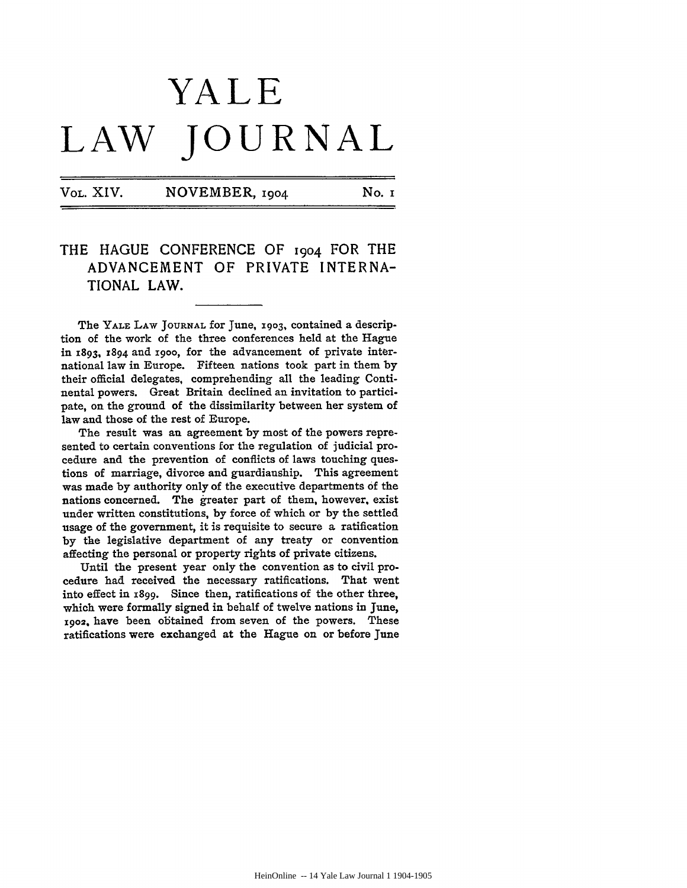## **YALE LAW JOURNAL**

| Vol. XIV. | NOVEMBER, 1904 | No. 1 |
|-----------|----------------|-------|
|-----------|----------------|-------|

## THE **HAGUE CONFERENCE** OF **1904** FOR THE **ADVANCEMENT** OF PRIVATE **INTERNA-TIONAL** LAW.

The **YALE LAW JOURNAL** for June, **1903,** contained a description of the work of the three conferences held at the Hague in 1893, x894 and 19oo, for the advancement of private international law in Europe. Fifteen nations took part in them **by** their official delegates, comprehending all the leading Continental powers. Great Britain declined an invitation to participate, on the ground of the dissimilarity between her system of law and those of the rest of Europe.

The result was an agreement **by** most of the powers represented to certain conventions for the regulation of judicial procedure and the prevention of conflicts of laws touching questions of marriage, divorce and guardianship. This agreement was made **by** authority only of the executive departments of the nations concerned. The greater part of them, however, exist under written constitutions, **by** force of which or **by** the settled usage of the government, it is requisite to secure a ratification by the legislative department of any treaty or convention affecting the personal or property rights of private citizens.

Until the present year only the convention as to civil procedure had received the necessary ratifications. That went into effect in **x899.** Since then, ratifications of the other three, which were formally signed in behalf of twelve nations in June, **1902,** have been obtained from seven of the powers. These ratifications were exchanged at the Hague on or before June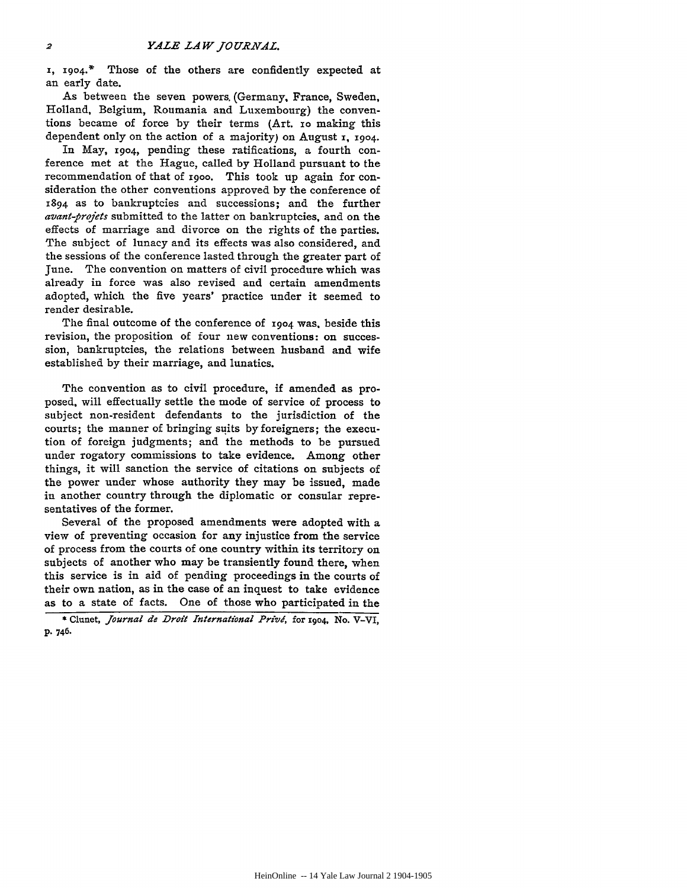**i, 1904.\*** Those of the others are confidently expected at an early date.

As between the seven powers (Germany, France, Sweden, Holland, Belgium, Roumania and Luxembourg) the conventions became of force by their terms (Art. io making this dependent only on the action of a majority) on August **i, 1904.**

In May, **1904,** pending these ratifications, a fourth conference met at the Hague, called **by** Holland pursuant to the recommendation of that of **i9oo.** This took up again for consideration the other conventions approved **by** the conference of 1894 as to bankruptcies and successions; and the further *avant-Projets* submitted to the latter on bankruptcies, and on the effects of marriage and divorce on the rights of the parties. The subject of lunacy and its effects was also considered, and the sessions of the conference lasted through the greater part of June. The convention on matters of civil procedure which was already in force was also revised and certain amendments adopted, which the five years' practice under it seemed to render desirable.

The final outcome of the conference of **1904** was, beside this revision, the proposition of four new conventions: on succession, bankruptcies, the relations between husband and wife established **by** their marriage, and lunatics.

The convention as to civil procedure, if amended as proposed, will effectually settle the mode of service of process to subject non-resident defendants to the jurisdiction of the courts; the manner of bringing suits **by** foreigners; the execution of foreign judgments; and the methods to be pursued under rogatory commissions to take evidence. Among other things, it will sanction the service of citations on subjects of the power under whose authority they may be issued, made in another country through the diplomatic or consular representatives of the former.

Several of the proposed amendments were adopted with a view of preventing occasion for any injustice from the service of process from the courts of one country within its territory on subjects of another who may be transiently found there, when this service is in aid of pending proceedings in the courts of their own nation, as in the case of an inquest to take evidence as to a state of facts. One of those who participated in the

<sup>\*</sup> Clunet, *journal de Droit International Privi,* for x9o4, No. V-VI, p. 746.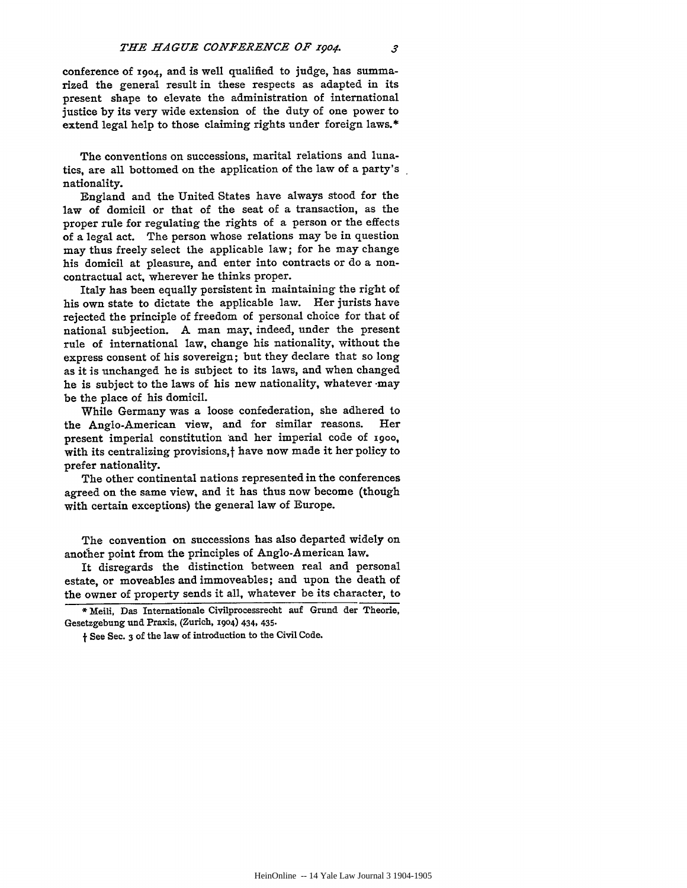conference of **1904,** and is well qualified to judge, has summarized the general result in these respects as adapted in its present shape to elevate the administration of international justice **by** its very wide extension of the duty of one power to extend legal help to those claiming rights under foreign laws.\*

The conventions on successions, marital relations and lunatics, are all bottomed on the application of the law of a party's nationality.

England and the United States have always stood for the law of domicil or that of the seat of a transaction, as the proper rule for regulating the rights of a person or the effects of a legal act. The person whose relations may be in question may thus freely select the applicable law; for he may change his domicil at pleasure, and enter into contracts or do a noncontractual act, wherever he thinks proper.

Italy has been equally persistent in maintaining the right of his own state to dictate the applicable law. Her jurists have rejected the principle of freedom of personal choice for that of national subjection. A man may, indeed, under the present rule of international law, change his nationality, without the express consent of his sovereign; but they declare that so long as it is unchanged he is subject to its laws, and when changed he is subject to the laws of his new nationality, whatever may be the place of his domicil.

While Germany was a loose confederation, she adhered to the Anglo-American view, and for similar reasons. Her present imperial constitution 'and her imperial code of **igoo,** with its centralizing provisions, thave now made it her policy to prefer nationality.

The other continental nations represented in the conferences agreed on the same view, and it has thus now become (though with certain exceptions) the general law of Europe.

The convention on successions has also departed widely on another point from the principles of Anglo-American law.

It disregards the distinction between real and personal estate, or moveables and immoveables; and upon the death of the owner of property sends it all, whatever be its character, to

**<sup>\*</sup>** Meili, Das Internationale Civilprocessrecht auf Grund der Theorie, Gesetzgebung und Praxis, (Zurich, **1904) 434, 435.**

t See Sec. **3** of the law of introduction to the Civil Code.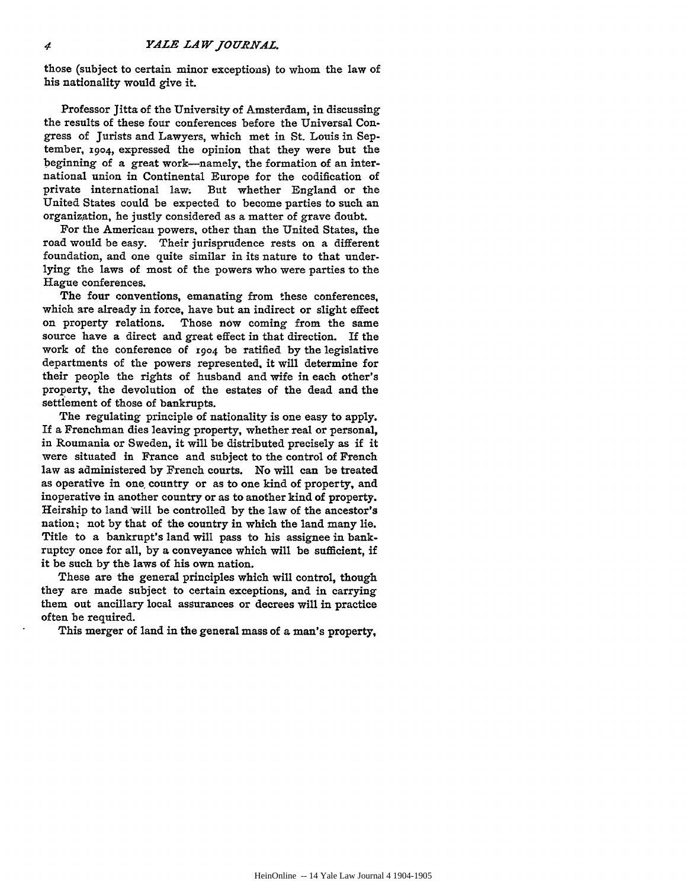those (subject to certain minor exceptions) to whom the law of his nationality would give it.

Professor Jitta of the University of Amsterdam, in discussing the results of these four conferences before the Universal Congress of Jurists and Lawyers, which met in **St.** Louis in September, **1904,** expressed the opinion that they were but the beginning of a great work-namely, the formation of an international union in Continental Europe for the codification of private international law; But whether England or the United States could be expected to become parties to such an organization, he justly considered as a matter of grave doubt.

For the American powers, other than the United States, the road would be easy. Their jurisprudence rests on a different foundation, and one quite similar in its nature to that underlying the laws of most of the powers who were parties to the Hague conferences.

The four conventions, emanating from these conferences, which are already in force, have but an indirect or slight effect on property relations. Those now coming from the same source have a direct and great effect in that direction. If the work of the conference of **1904** be ratified **by** the legislative departments of the powers represented, it will determine for their people the rights of husband and wife in each other's property, the devolution of the estates of the dead and the settlement of those of bankrupts.

The regulating principle of nationality is one easy to apply. If a Frenchman dies leaving property, whether real or personal, in Roumania or Sweden, it will be distributed precisely as if it were situated in France and subject to the control of French law as administered **by** French courts. No will can be treated as operative in one country or as to one kind of property, and inoperative in another country or as to another kind of property. Heirship to land will be controlled **by** the law of the ancestor's nation; not **by** that of the country in which the land many lie. Title to a bankrupt's land will pass to his assignee in bankruptcy once for all, **by** a conveyance which will be sufficient, if it be such **by** the laws of his own nation.

These are the general principles which will control, though they are made subject to certain exceptions, and in carrying them out ancillary local assurances or decrees will in practice often be required.

This merger of land in the general mass of a man's property,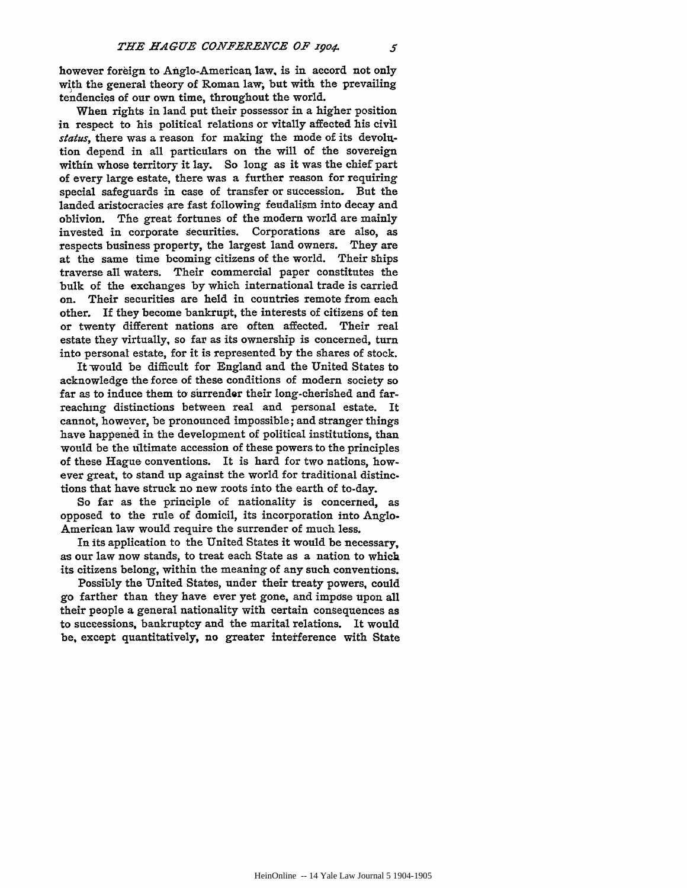however foreign to Anglo-American law, is in accord not only with the general theory of Roman law, but with the prevailing tendencies of our own time, throughout the world.

When rights in land put their possessor in a higher position in respect to his political relations or vitally affected his civil *status,* there was a reason for making the mode of its devolntion depend in all particulars on the will of the sovereign within whose territory it lay. So long as it was the chief part of every large estate, there was a further reason for requiring special safeguards in case of transfer or succession. But the landed aristocracies are fast following feudalism into decay and oblivion. The great fortunes of the modern world are mainly invested in corporate securities. Corporations are also, as respects business property, the largest land owners. They are at the same time bcoming citizens of the world. Their ships traverse all waters. Their commercial paper constitutes the bulk of the exchanges **by** which international trade is carried on. Their securities are held in countries remote from each other. **If** they become bankrupt, the interests of citizens of ten or twenty different nations are often affected. Their real estate they virtually, so far as its ownership is concerned, turn into personal estate, for it is represented **by** the shares of stock.

It would be difficult for England and the United States to acknowledge the force of these conditions of modern society so far as to induce them to surrender their long-cherished and farreaching distinctions between real and personal estate. It cannot, however, be pronounced impossible; and stranger things have happened in the development of political institutions, than would be the ultimate accession of these powers to the principles of these Hague conventions. It is hard for two nations, however great, to stand up against the world for traditional distinc. tions that have struck no new roots into the earth of to-day.

So far as the principle of nationality is concerned, as opposed to the rule of domicil, its incorporation into Anglo. American law would require the surrender of much less.

In its application to the United States it would be necessary, as our law now stands, to treat each State as a nation to which its citizens belong, within the meaning of any such conventions.

Possibly the United States, under their treaty powers, could go farther than they have ever yet gone, and impose upon all their people a general nationality with certain consequences as to successions, bankruptcy and the marital relations. It would be, except quantitatively, no greater interference with State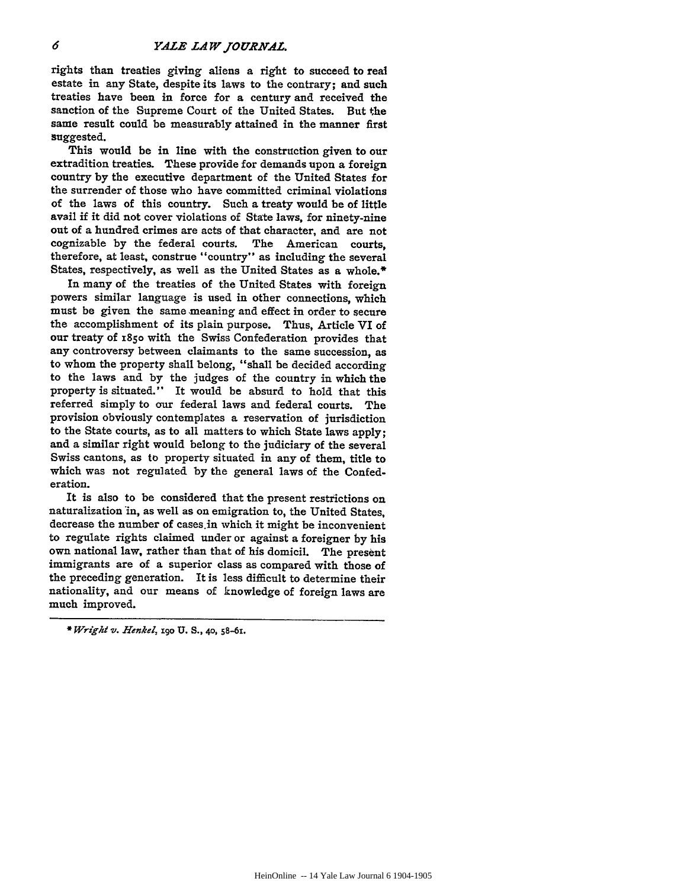rights than treaties giving aliens a right to succeed to real estate in any State, despite its laws to the contrary; and such treaties have been in force for a century and received the sanction of the Supreme Court of the United States. But the same result could be measurably attained in the manner first suggested.

This would be in line with the construction given to our extradition treaties. These provide for demands upon a foreign country **by** the executive department of the United States for the surrender of those who have committed criminal violations of the laws of this country. Such a treaty would be of little avail **if** it did not cover violations of State laws, for ninety-nine out of a hundred crimes are acts of that character, and are not cognizable **by** the federal courts. The American courts, therefore, at least, construe "country" as including the several States, respectively, as well as the United States as a whole.\*

In many of the treaties of the United States with foreign powers similar language is used in other connections, which must be given the same meaning and effect in order to secure the accomplishment of its plain purpose. Thus, Article VI of our treaty of **185o** with the Swiss Confederation provides that any controversy between claimants to the same succession, as to whom the property shall belong, "shall be decided according to the laws and **by** the judges of the country in which the property is situated." It would be absurd to hold that this referred simply to our federal laws and federal courts. The provision obviously contemplates a reservation of jurisdiction to the State courts, as to all matters to which State laws apply; and a similar right would belong to the judiciary of the several Swiss cantons, as to property situated in any of them, title to which was not regulated **by** the general laws of the Confederation.

It is also to be considered that the present restrictions on naturalization in, as well as on emigration to, the United States, decrease the number of cases.in which it might be inconvenient to regulate rights claimed under or against a foreigner **by** his own national law, rather than that of his domicil. The present immigrants are of a superior class as compared with those of the preceding generation. It is less difficult to determine their nationality, and our means of knowledge of foreign laws are much improved.

**\*** *Wright v. Henke. zgo* **U. S., 40, 58-6z.**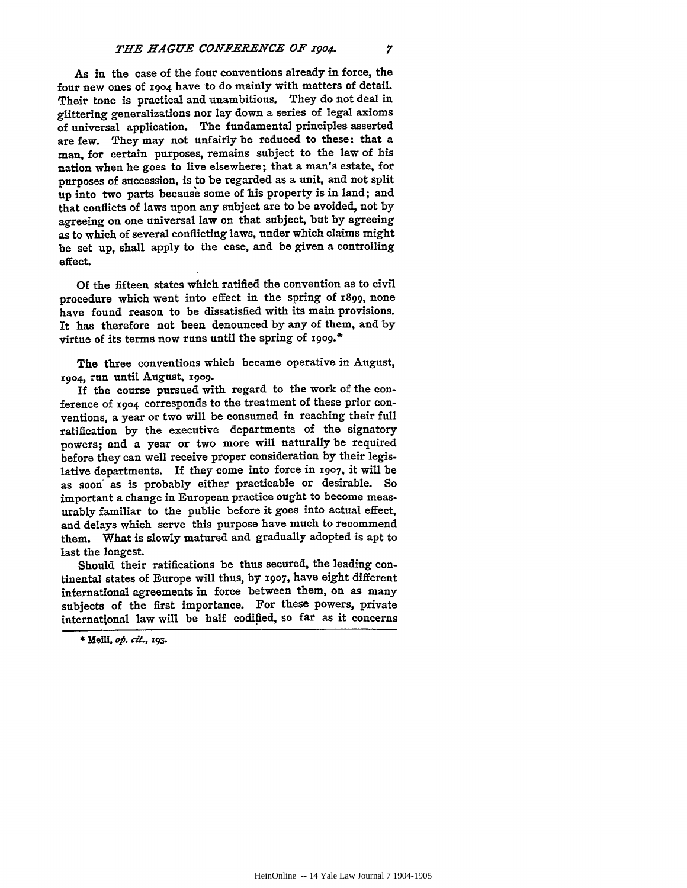As in the case of the four conventions already in force, the four new ones of **1904** have to do mainly with matters of detail. Their tone is practical and unambitious. They do not deal in glittering generalizations nor lay down a series of legal axioms of universal application. The fundamental principles asserted are few. They may not unfairly be reduced to these: that a man, for certain purposes, remains subject to the law of his nation when he goes to live elsewhere; that a man's estate, for purposes of succession, is to be regarded as a unit, and not split up into two parts because some of his property is in land; and that conflicts of laws upon any subject are to be avoided, not **by** agreeing on one universal law on that subject, but **by** agreeing as to which of several conflicting laws, under which claims might be set up, shall apply to the case, and be given a controlling effect.

**Of** the fifteen states which ratified the convention as to civil procedure which went into effect in the spring of **1899,** none have found reason to be dissatisfied with its main provisions. It has therefore not been denounced **by** any of them, and **by** virtue of its terms now runs until the spring of r9o9.\*

The three conventions which became operative in August, **1904, run** until August, **19o9.**

If the course pursued with regard to the work of the conference of **1904** corresponds to the treatment of these prior conventions, a year or two will be consumed in reaching their full ratification **by** the executive departments of the signatory powers; and a year or two more will naturally be required before they can well receive proper consideration **by** their legislative departments. If they come into force in **1907,** it will be as soon as is probably either practicable or desirable. So important a change in European practice ought to become meas. urably familiar to the public before it goes into actual effect, and delays which serve this purpose have much to recommend them. What is slowly matured and gradually adopted is apt to last the longest.

Should their ratifications be thus secured, the leading continental states of Europe will thus, **by x907,** have eight different international agreements in force between them, on as many subjects of the first importance. For these powers, private international law will be half codified, so far as it concerns

**<sup>\*</sup>** Meili, *op. cit.*, 193.